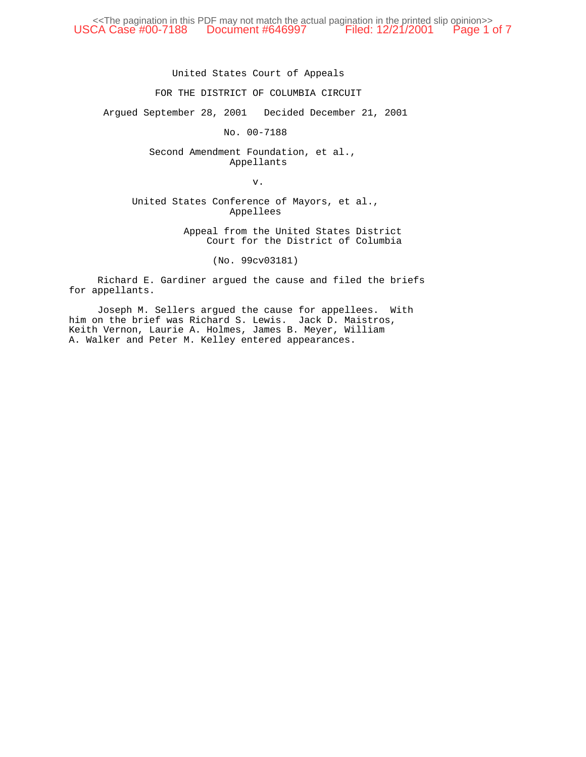<<The pagination in this PDF may not match the actual pagination in the printed slip opinion>> USCA Case #00-7188 Document #646997 Filed: 12/21/2001 Page 1 of 7

United States Court of Appeals

## FOR THE DISTRICT OF COLUMBIA CIRCUIT

Argued September 28, 2001 Decided December 21, 2001

No. 00-7188

Second Amendment Foundation, et al., Appellants

v.

United States Conference of Mayors, et al., Appellees

> Appeal from the United States District Court for the District of Columbia

> > (No. 99cv03181)

Richard E. Gardiner argued the cause and filed the briefs for appellants.

Joseph M. Sellers argued the cause for appellees. With him on the brief was Richard S. Lewis. Jack D. Maistros, Keith Vernon, Laurie A. Holmes, James B. Meyer, William A. Walker and Peter M. Kelley entered appearances.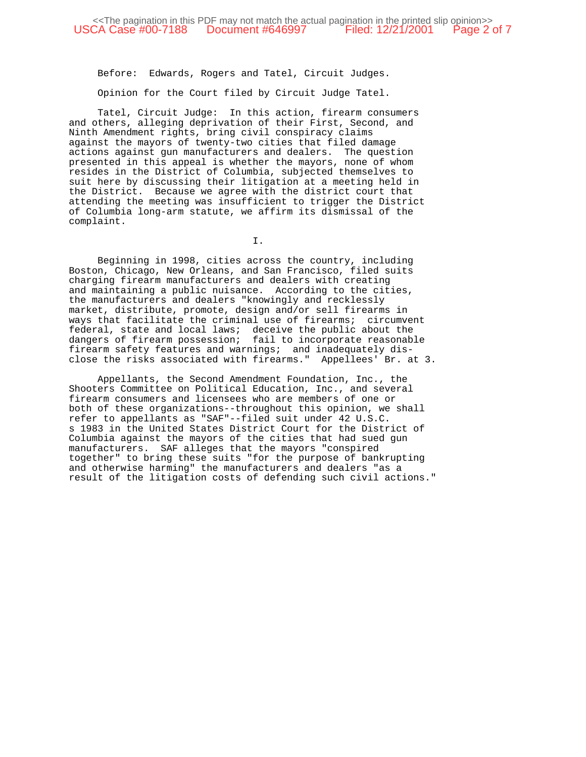Before: Edwards, Rogers and Tatel, Circuit Judges.

Opinion for the Court filed by Circuit Judge Tatel.

Tatel, Circuit Judge: In this action, firearm consumers and others, alleging deprivation of their First, Second, and Ninth Amendment rights, bring civil conspiracy claims against the mayors of twenty-two cities that filed damage actions against gun manufacturers and dealers. The question presented in this appeal is whether the mayors, none of whom resides in the District of Columbia, subjected themselves to suit here by discussing their litigation at a meeting held in the District. Because we agree with the district court that attending the meeting was insufficient to trigger the District of Columbia long-arm statute, we affirm its dismissal of the complaint.

I.

Beginning in 1998, cities across the country, including Boston, Chicago, New Orleans, and San Francisco, filed suits charging firearm manufacturers and dealers with creating and maintaining a public nuisance. According to the cities, the manufacturers and dealers "knowingly and recklessly market, distribute, promote, design and/or sell firearms in ways that facilitate the criminal use of firearms; circumvent federal, state and local laws; deceive the public about the dangers of firearm possession; fail to incorporate reasonable firearm safety features and warnings; and inadequately disclose the risks associated with firearms." Appellees' Br. at 3.

Appellants, the Second Amendment Foundation, Inc., the Shooters Committee on Political Education, Inc., and several firearm consumers and licensees who are members of one or both of these organizations--throughout this opinion, we shall refer to appellants as "SAF"--filed suit under 42 U.S.C. s 1983 in the United States District Court for the District of Columbia against the mayors of the cities that had sued gun manufacturers. SAF alleges that the mayors "conspired together" to bring these suits "for the purpose of bankrupting and otherwise harming" the manufacturers and dealers "as a result of the litigation costs of defending such civil actions."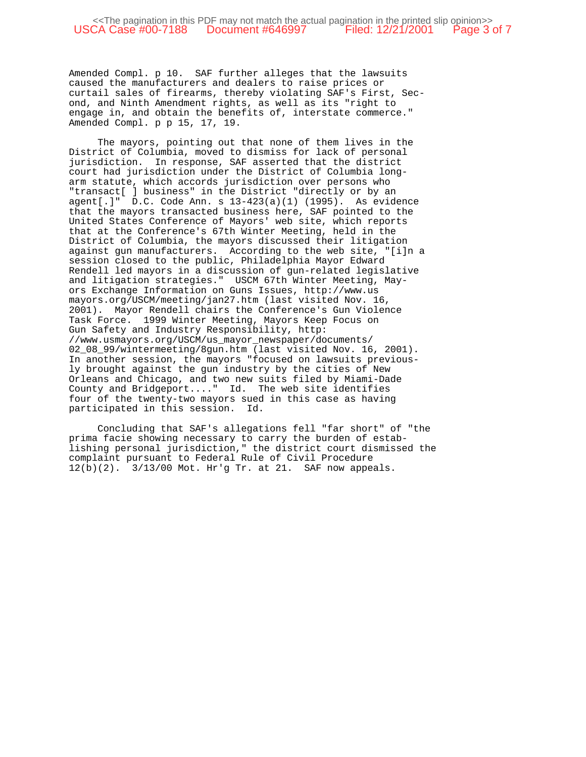Amended Compl. p 10. SAF further alleges that the lawsuits caused the manufacturers and dealers to raise prices or curtail sales of firearms, thereby violating SAF's First, Second, and Ninth Amendment rights, as well as its "right to engage in, and obtain the benefits of, interstate commerce." Amended Compl. p p 15, 17, 19.

The mayors, pointing out that none of them lives in the District of Columbia, moved to dismiss for lack of personal jurisdiction. In response, SAF asserted that the district court had jurisdiction under the District of Columbia longarm statute, which accords jurisdiction over persons who "transact[ ] business" in the District "directly or by an agent[.]" D.C. Code Ann. s 13-423(a)(1) (1995). As evidence that the mayors transacted business here, SAF pointed to the United States Conference of Mayors' web site, which reports that at the Conference's 67th Winter Meeting, held in the District of Columbia, the mayors discussed their litigation against gun manufacturers. According to the web site, "[i]n a session closed to the public, Philadelphia Mayor Edward Rendell led mayors in a discussion of gun-related legislative and litigation strategies." USCM 67th Winter Meeting, Mayors Exchange Information on Guns Issues, http://www.us mayors.org/USCM/meeting/jan27.htm (last visited Nov. 16, 2001). Mayor Rendell chairs the Conference's Gun Violence Task Force. 1999 Winter Meeting, Mayors Keep Focus on Gun Safety and Industry Responsibility, http: //www.usmayors.org/USCM/us\_mayor\_newspaper/documents/ 02 08 99/wintermeeting/8gun.htm (last visited Nov. 16, 2001). In another session, the mayors "focused on lawsuits previously brought against the gun industry by the cities of New Orleans and Chicago, and two new suits filed by Miami-Dade County and Bridgeport...." Id. The web site identifies four of the twenty-two mayors sued in this case as having participated in this session. Id.

Concluding that SAF's allegations fell "far short" of "the prima facie showing necessary to carry the burden of establishing personal jurisdiction," the district court dismissed the complaint pursuant to Federal Rule of Civil Procedure 12(b)(2). 3/13/00 Mot. Hr'g Tr. at 21. SAF now appeals.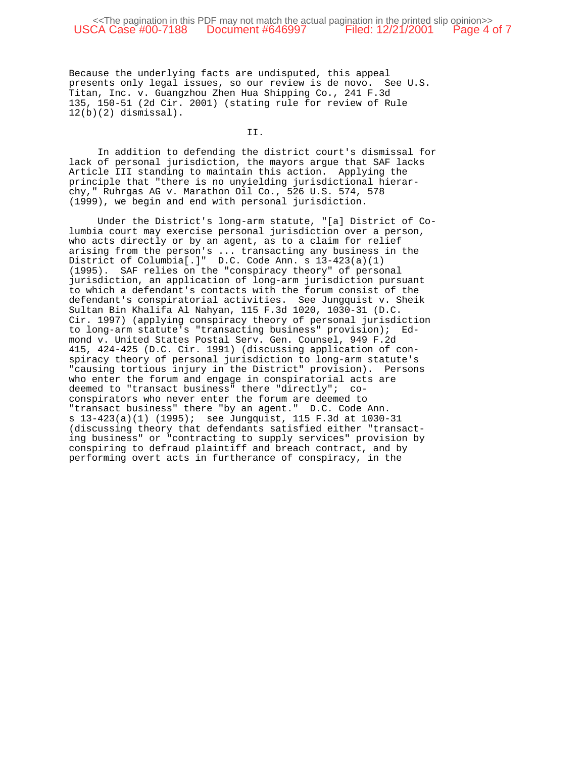## <<The pagination in this PDF may not match the actual pagination in the printed slip opinion>><br>CA Case #00-7188 Document #646997 Filed: 12/21/2001 Page 4 of 7 USCA Case #00-7188 Document #646997

Because the underlying facts are undisputed, this appeal presents only legal issues, so our review is de novo. See U.S. Titan, Inc. v. Guangzhou Zhen Hua Shipping Co., 241 F.3d 135, 150-51 (2d Cir. 2001) (stating rule for review of Rule  $12(b)(2)$  dismissal).

II.

In addition to defending the district court's dismissal for lack of personal jurisdiction, the mayors argue that SAF lacks Article III standing to maintain this action. Applying the principle that "there is no unyielding jurisdictional hierarchy," Ruhrgas AG v. Marathon Oil Co., 526 U.S. 574, 578 (1999), we begin and end with personal jurisdiction.

Under the District's long-arm statute, "[a] District of Columbia court may exercise personal jurisdiction over a person, who acts directly or by an agent, as to a claim for relief arising from the person's ... transacting any business in the District of Columbia[.]" D.C. Code Ann. s 13-423(a)(1) (1995). SAF relies on the "conspiracy theory" of personal jurisdiction, an application of long-arm jurisdiction pursuant to which a defendant's contacts with the forum consist of the defendant's conspiratorial activities. See Jungquist v. Sheik Sultan Bin Khalifa Al Nahyan, 115 F.3d 1020, 1030-31 (D.C. Cir. 1997) (applying conspiracy theory of personal jurisdiction to long-arm statute's "transacting business" provision); Edmond v. United States Postal Serv. Gen. Counsel, 949 F.2d 415, 424-425 (D.C. Cir. 1991) (discussing application of conspiracy theory of personal jurisdiction to long-arm statute's "causing tortious injury in the District" provision). Persons who enter the forum and engage in conspiratorial acts are deemed to "transact business" there "directly"; coconspirators who never enter the forum are deemed to "transact business" there "by an agent." D.C. Code Ann. s 13-423(a)(1) (1995); see Jungquist, 115 F.3d at 1030-31 (discussing theory that defendants satisfied either "transacting business" or "contracting to supply services" provision by conspiring to defraud plaintiff and breach contract, and by performing overt acts in furtherance of conspiracy, in the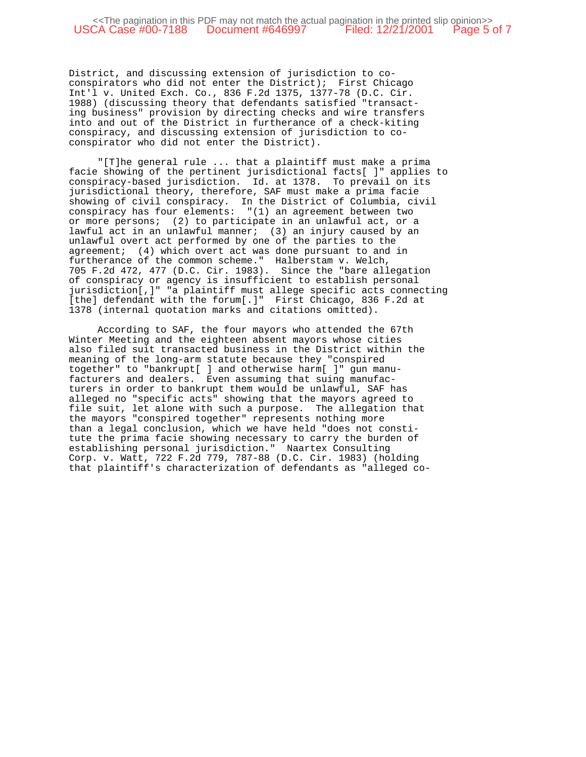District, and discussing extension of jurisdiction to coconspirators who did not enter the District); First Chicago Int'l v. United Exch. Co., 836 F.2d 1375, 1377-78 (D.C. Cir. 1988) (discussing theory that defendants satisfied "transacting business" provision by directing checks and wire transfers into and out of the District in furtherance of a check-kiting conspiracy, and discussing extension of jurisdiction to coconspirator who did not enter the District).

"[T]he general rule ... that a plaintiff must make a prima facie showing of the pertinent jurisdictional facts[ ]" applies to conspiracy-based jurisdiction. Id. at 1378. To prevail on its jurisdictional theory, therefore, SAF must make a prima facie showing of civil conspiracy. In the District of Columbia, civil conspiracy has four elements: "(1) an agreement between two or more persons; (2) to participate in an unlawful act, or a lawful act in an unlawful manner; (3) an injury caused by an unlawful overt act performed by one of the parties to the agreement; (4) which overt act was done pursuant to and in furtherance of the common scheme." Halberstam v. Welch, 705 F.2d 472, 477 (D.C. Cir. 1983). Since the "bare allegation of conspiracy or agency is insufficient to establish personal jurisdiction[,]" "a plaintiff must allege specific acts connecting [the] defendant with the forum[.]" First Chicago, 836 F.2d at 1378 (internal quotation marks and citations omitted).

According to SAF, the four mayors who attended the 67th Winter Meeting and the eighteen absent mayors whose cities also filed suit transacted business in the District within the meaning of the long-arm statute because they "conspired together" to "bankrupt[ ] and otherwise harm[ ]" gun manufacturers and dealers. Even assuming that suing manufacturers in order to bankrupt them would be unlawful, SAF has alleged no "specific acts" showing that the mayors agreed to file suit, let alone with such a purpose. The allegation that the mayors "conspired together" represents nothing more than a legal conclusion, which we have held "does not constitute the prima facie showing necessary to carry the burden of establishing personal jurisdiction." Naartex Consulting Corp. v. Watt, 722 F.2d 779, 787-88 (D.C. Cir. 1983) (holding that plaintiff's characterization of defendants as "alleged co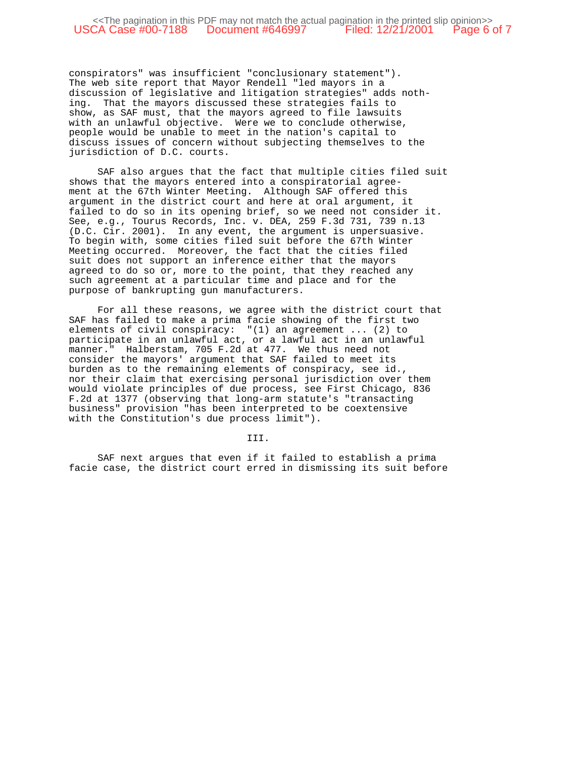conspirators" was insufficient "conclusionary statement"). The web site report that Mayor Rendell "led mayors in a discussion of legislative and litigation strategies" adds nothing. That the mayors discussed these strategies fails to show, as SAF must, that the mayors agreed to file lawsuits with an unlawful objective. Were we to conclude otherwise, people would be unable to meet in the nation's capital to discuss issues of concern without subjecting themselves to the jurisdiction of D.C. courts.

SAF also argues that the fact that multiple cities filed suit shows that the mayors entered into a conspiratorial agreement at the 67th Winter Meeting. Although SAF offered this argument in the district court and here at oral argument, it failed to do so in its opening brief, so we need not consider it. See, e.g., Tourus Records, Inc. v. DEA, 259 F.3d 731, 739 n.13 (D.C. Cir. 2001). In any event, the argument is unpersuasive. To begin with, some cities filed suit before the 67th Winter Meeting occurred. Moreover, the fact that the cities filed suit does not support an inference either that the mayors agreed to do so or, more to the point, that they reached any such agreement at a particular time and place and for the purpose of bankrupting gun manufacturers.

For all these reasons, we agree with the district court that SAF has failed to make a prima facie showing of the first two elements of civil conspiracy: "(1) an agreement ... (2) to participate in an unlawful act, or a lawful act in an unlawful manner." Halberstam, 705 F.2d at 477. We thus need not consider the mayors' argument that SAF failed to meet its burden as to the remaining elements of conspiracy, see id., nor their claim that exercising personal jurisdiction over them would violate principles of due process, see First Chicago, 836 F.2d at 1377 (observing that long-arm statute's "transacting business" provision "has been interpreted to be coextensive with the Constitution's due process limit").

III.

SAF next argues that even if it failed to establish a prima facie case, the district court erred in dismissing its suit before